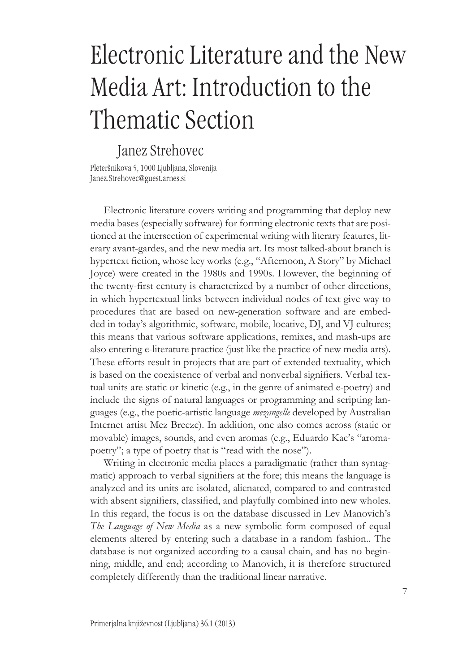## Electronic Literature and the New Media Art: Introduction to the Thematic Section

## Janez Strehovec

Pleteršnikova 5, 1000 Ljubljana, Slovenija Janez.Strehovec@guest.arnes.si

Electronic literature covers writing and programming that deploy new media bases (especially software) for forming electronic texts that are positioned at the intersection of experimental writing with literary features, literary avant-gardes, and the new media art. Its most talked-about branch is hypertext fiction, whose key works (e.g., "Afternoon, A Story" by Michael Joyce) were created in the 1980s and 1990s. However, the beginning of the twenty-first century is characterized by a number of other directions, in which hypertextual links between individual nodes of text give way to procedures that are based on new-generation software and are embedded in today's algorithmic, software, mobile, locative, DJ, and VJ cultures; this means that various software applications, remixes, and mash-ups are also entering e-literature practice (just like the practice of new media arts). These efforts result in projects that are part of extended textuality, which is based on the coexistence of verbal and nonverbal signifiers. Verbal textual units are static or kinetic (e.g., in the genre of animated e-poetry) and include the signs of natural languages or programming and scripting languages (e.g., the poetic-artistic language *mezangelle* developed by Australian Internet artist Mez Breeze). In addition, one also comes across (static or movable) images, sounds, and even aromas (e.g., Eduardo Kac's "aromapoetry"; a type of poetry that is "read with the nose").

Writing in electronic media places a paradigmatic (rather than syntagmatic) approach to verbal signifiers at the fore; this means the language is analyzed and its units are isolated, alienated, compared to and contrasted with absent signifiers, classified, and playfully combined into new wholes. In this regard, the focus is on the database discussed in Lev Manovich's *The Language of New Media* as a new symbolic form composed of equal elements altered by entering such a database in a random fashion.. The database is not organized according to a causal chain, and has no beginning, middle, and end; according to Manovich, it is therefore structured completely differently than the traditional linear narrative.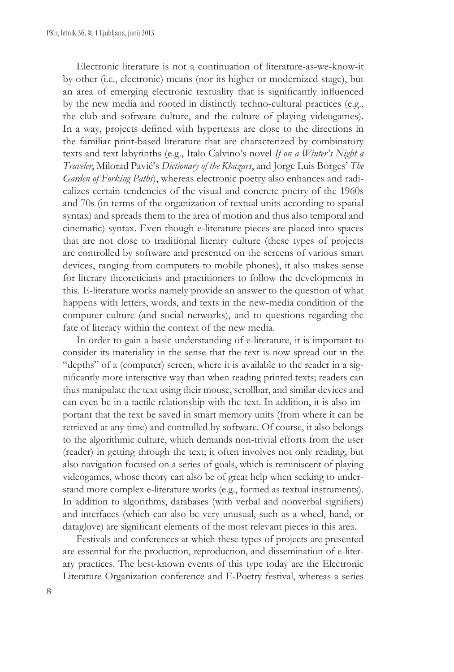Electronic literature is not a continuation of literature-as-we-know-it by other (i.e., electronic) means (nor its higher or modernized stage), but an area of emerging electronic textuality that is significantly influenced by the new media and rooted in distinctly techno-cultural practices (e.g., the club and software culture, and the culture of playing videogames). In a way, projects defined with hypertexts are close to the directions in the familiar print-based literature that are characterized by combinatory texts and text labyrinths (e.g., Italo Calvino's novel *If on a Winter's Night a Traveler*, Milorad Pavić's *Dictionary of the Khazars*, and Jorge Luis Borges' *The Garden of Forking Paths*), whereas electronic poetry also enhances and radicalizes certain tendencies of the visual and concrete poetry of the 1960s and 70s (in terms of the organization of textual units according to spatial syntax) and spreads them to the area of motion and thus also temporal and cinematic) syntax. Even though e-literature pieces are placed into spaces that are not close to traditional literary culture (these types of projects are controlled by software and presented on the screens of various smart devices, ranging from computers to mobile phones), it also makes sense for literary theoreticians and practitioners to follow the developments in this. E-literature works namely provide an answer to the question of what happens with letters, words, and texts in the new-media condition of the computer culture (and social networks), and to questions regarding the fate of literacy within the context of the new media.

In order to gain a basic understanding of e-literature, it is important to consider its materiality in the sense that the text is now spread out in the "depths" of a (computer) screen, where it is available to the reader in a significantly more interactive way than when reading printed texts; readers can thus manipulate the text using their mouse, scrollbar, and similar devices and can even be in a tactile relationship with the text. In addition, it is also important that the text be saved in smart memory units (from where it can be retrieved at any time) and controlled by software. Of course, it also belongs to the algorithmic culture, which demands non-trivial efforts from the user (reader) in getting through the text; it often involves not only reading, but also navigation focused on a series of goals, which is reminiscent of playing videogames, whose theory can also be of great help when seeking to understand more complex e-literature works (e.g., formed as textual instruments). In addition to algorithms, databases (with verbal and nonverbal signifiers) and interfaces (which can also be very unusual, such as a wheel, hand, or dataglove) are significant elements of the most relevant pieces in this area.

Festivals and conferences at which these types of projects are presented are essential for the production, reproduction, and dissemination of e-literary practices. The best-known events of this type today are the Electronic Literature Organization conference and E-Poetry festival, whereas a series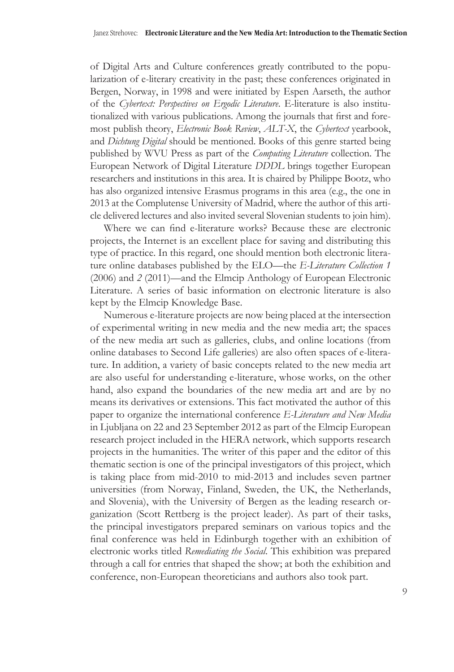of Digital Arts and Culture conferences greatly contributed to the popularization of e-literary creativity in the past; these conferences originated in Bergen, Norway, in 1998 and were initiated by Espen Aarseth, the author of the *Cybertext: Perspectives on Ergodic Literature*. E-literature is also institutionalized with various publications. Among the journals that first and foremost publish theory, *Electronic Book Review*, *ALT-X*, the *Cybertext* yearbook, and *Dichtung Digital* should be mentioned. Books of this genre started being published by WVU Press as part of the *Computing Literature* collection. The European Network of Digital Literature *DDDL* brings together European researchers and institutions in this area. It is chaired by Philippe Bootz, who has also organized intensive Erasmus programs in this area (e.g., the one in 2013 at the Complutense University of Madrid, where the author of this article delivered lectures and also invited several Slovenian students to join him).

Where we can find e-literature works? Because these are electronic projects, the Internet is an excellent place for saving and distributing this type of practice. In this regard, one should mention both electronic literature online databases published by the ELO—the *E-Literature Collection 1* (2006) and *2* (2011)—and the Elmcip Anthology of European Electronic Literature. A series of basic information on electronic literature is also kept by the Elmcip Knowledge Base.

Numerous e-literature projects are now being placed at the intersection of experimental writing in new media and the new media art; the spaces of the new media art such as galleries, clubs, and online locations (from online databases to Second Life galleries) are also often spaces of e-literature. In addition, a variety of basic concepts related to the new media art are also useful for understanding e-literature, whose works, on the other hand, also expand the boundaries of the new media art and are by no means its derivatives or extensions. This fact motivated the author of this paper to organize the international conference *E-Literature and New Media* in Ljubljana on 22 and 23 September 2012 as part of the Elmcip European research project included in the HERA network, which supports research projects in the humanities. The writer of this paper and the editor of this thematic section is one of the principal investigators of this project, which is taking place from mid-2010 to mid-2013 and includes seven partner universities (from Norway, Finland, Sweden, the UK, the Netherlands, and Slovenia), with the University of Bergen as the leading research organization (Scott Rettberg is the project leader). As part of their tasks, the principal investigators prepared seminars on various topics and the final conference was held in Edinburgh together with an exhibition of electronic works titled *Remediating the Social*. This exhibition was prepared through a call for entries that shaped the show; at both the exhibition and conference, non-European theoreticians and authors also took part.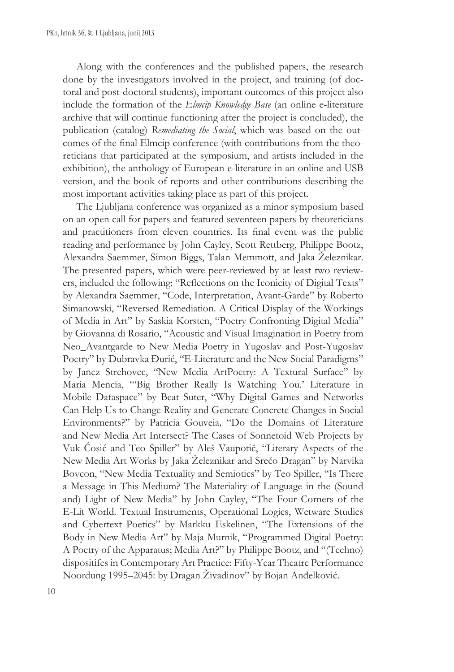Along with the conferences and the published papers, the research done by the investigators involved in the project, and training (of doctoral and post-doctoral students), important outcomes of this project also include the formation of the *Elmcip Knowledge Base* (an online e-literature archive that will continue functioning after the project is concluded), the publication (catalog) *Remediating the Social*, which was based on the outcomes of the final Elmcip conference (with contributions from the theoreticians that participated at the symposium, and artists included in the exhibition), the anthology of European e-literature in an online and USB version, and the book of reports and other contributions describing the most important activities taking place as part of this project.

The Ljubljana conference was organized as a minor symposium based on an open call for papers and featured seventeen papers by theoreticians and practitioners from eleven countries. Its final event was the public reading and performance by John Cayley, Scott Rettberg, Philippe Bootz, Alexandra Saemmer, Simon Biggs, Talan Memmott, and Jaka Železnikar. The presented papers, which were peer-reviewed by at least two reviewers, included the following: "Reflections on the Iconicity of Digital Texts" by Alexandra Saemmer, "Code, Interpretation, Avant-Garde" by Roberto Simanowski, "Reversed Remediation. A Critical Display of the Workings of Media in Art" by Saskia Korsten, "Poetry Confronting Digital Media" by Giovanna di Rosario, "Acoustic and Visual Imagination in Poetry from Neo\_Avantgarde to New Media Poetry in Yugoslav and Post-Yugoslav Poetry" by Dubravka Đurić, "E-Literature and the New Social Paradigms" by Janez Strehovec, "New Media ArtPoetry: A Textural Surface" by Maria Mencia, "'Big Brother Really Is Watching You.' Literature in Mobile Dataspace" by Beat Suter, "Why Digital Games and Networks Can Help Us to Change Reality and Generate Concrete Changes in Social Environments?" by Patricia Gouveia*,* "Do the Domains of Literature and New Media Art Intersect? The Cases of Sonnetoid Web Projects by Vuk Ćosić and Teo Spiller" by Aleš Vaupotič, "Literary Aspects of the New Media Art Works by Jaka Železnikar and Srečo Dragan" by Narvika Bovcon, "New Media Textuality and Semiotics" by Teo Spiller, "Is There a Message in This Medium? The Materiality of Language in the (Sound and) Light of New Media" by John Cayley, "The Four Corners of the E-Lit World. Textual Instruments, Operational Logics, Wetware Studies and Cybertext Poetics" by Markku Eskelinen, "The Extensions of the Body in New Media Art" by Maja Murnik, "Programmed Digital Poetry: A Poetry of the Apparatus; Media Art?" by Philippe Bootz, and "(Techno) dispositifes in Contemporary Art Practice: Fifty-Year Theatre Performance Noordung 1995–2045: by Dragan Živadinov" by Bojan Anđelković*.*

10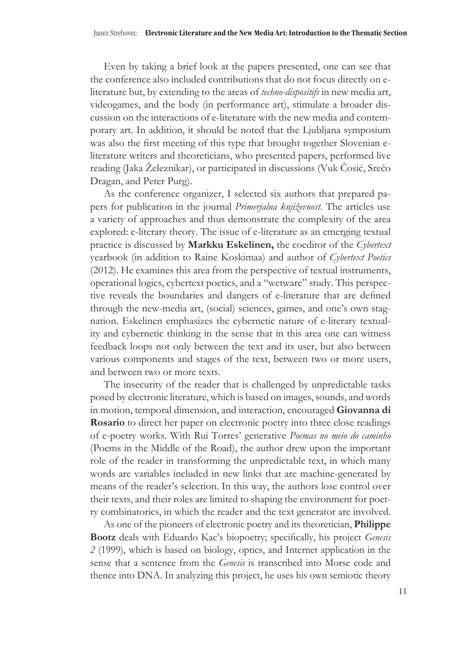Even by taking a brief look at the papers presented, one can see that the conference also included contributions that do not focus directly on eliterature but, by extending to the areas of *techno-dispositifs* in new media art, videogames, and the body (in performance art), stimulate a broader discussion on the interactions of e-literature with the new media and contemporary art. In addition, it should be noted that the Ljubljana symposium was also the first meeting of this type that brought together Slovenian eliterature writers and theoreticians, who presented papers, performed live reading (Jaka Železnikar), or participated in discussions (Vuk Čosić, Srečo Dragan, and Peter Purg).

As the conference organizer, I selected six authors that prepared papers for publication in the journal *Primerjalna književnost*. The articles use a variety of approaches and thus demonstrate the complexity of the area explored: e-literary theory. The issue of e-literature as an emerging textual practice is discussed by **Markku Eskelinen,** the coeditor of the *Cybertext* yearbook (in addition to Raine Koskimaa) and author of *Cybertext Poetics* (2012). He examines this area from the perspective of textual instruments, operational logics, cybertext poetics, and a "wetware" study. This perspective reveals the boundaries and dangers of e-literature that are defined through the new-media art, (social) sciences, games, and one's own stagnation. Eskelinen emphasizes the cybernetic nature of e-literary textuality and cybernetic thinking in the sense that in this area one can witness feedback loops not only between the text and its user, but also between various components and stages of the text, between two or more users, and between two or more texts.

The insecurity of the reader that is challenged by unpredictable tasks posed by electronic literature, which is based on images, sounds, and words in motion, temporal dimension, and interaction, encouraged **Giovanna di Rosario** to direct her paper on electronic poetry into three close readings of e-poetry works. With Rui Torres' generative *Poemas no meio do caminho* (Poems in the Middle of the Road), the author drew upon the important role of the reader in transforming the unpredictable text, in which many words are variables included in new links that are machine-generated by means of the reader's selection. In this way, the authors lose control over their texts, and their roles are limited to shaping the environment for poetry combinatorics, in which the reader and the text generator are involved.

As one of the pioneers of electronic poetry and its theoretician, **Philippe Bootz** deals with Eduardo Kac's biopoetry; specifically, his project *Genesis 2* (1999), which is based on biology, optics, and Internet application in the sense that a sentence from the *Genesis* is transcribed into Morse code and thence into DNA. In analyzing this project, he uses his own semiotic theory